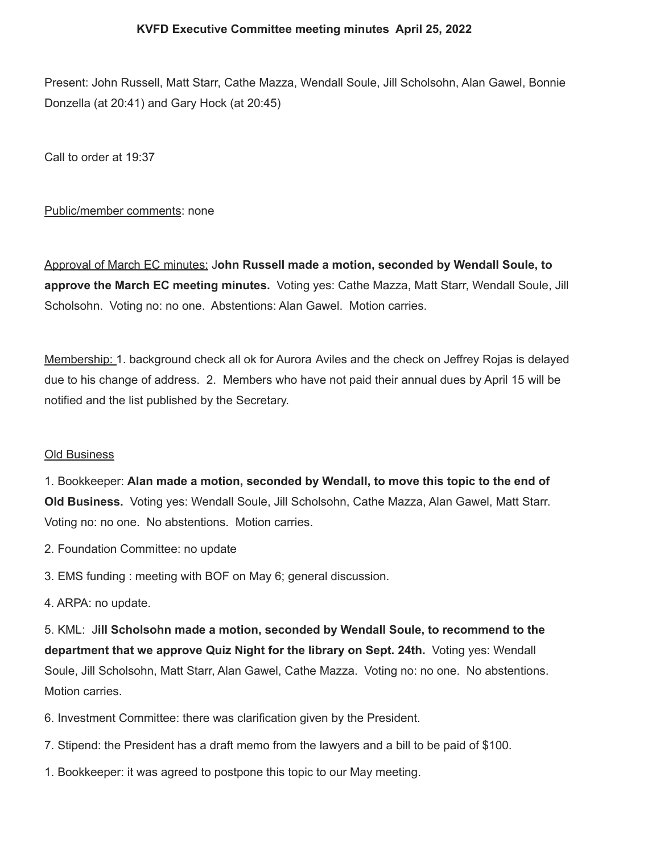Present: John Russell, Matt Starr, Cathe Mazza, Wendall Soule, Jill Scholsohn, Alan Gawel, Bonnie Donzella (at 20:41) and Gary Hock (at 20:45)

Call to order at 19:37

# Public/member comments: none

Approval of March EC minutes: J**ohn Russell made a motion, seconded by Wendall Soule, to approve the March EC meeting minutes.** Voting yes: Cathe Mazza, Matt Starr, Wendall Soule, Jill Scholsohn. Voting no: no one. Abstentions: Alan Gawel. Motion carries.

Membership: 1. background check all ok for Aurora Aviles and the check on Jeffrey Rojas is delayed due to his change of address. 2. Members who have not paid their annual dues by April 15 will be notified and the list published by the Secretary.

### Old Business

1. Bookkeeper: **Alan made a motion, seconded by Wendall, to move this topic to the end of Old Business.** Voting yes: Wendall Soule, Jill Scholsohn, Cathe Mazza, Alan Gawel, Matt Starr. Voting no: no one. No abstentions. Motion carries.

- 2. Foundation Committee: no update
- 3. EMS funding : meeting with BOF on May 6; general discussion.
- 4. ARPA: no update.

5. KML: J**ill Scholsohn made a motion, seconded by Wendall Soule, to recommend to the department that we approve Quiz Night for the library on Sept. 24th.** Voting yes: Wendall Soule, Jill Scholsohn, Matt Starr, Alan Gawel, Cathe Mazza. Voting no: no one. No abstentions. Motion carries.

- 6. Investment Committee: there was clarification given by the President.
- 7. Stipend: the President has a draft memo from the lawyers and a bill to be paid of \$100.
- 1. Bookkeeper: it was agreed to postpone this topic to our May meeting.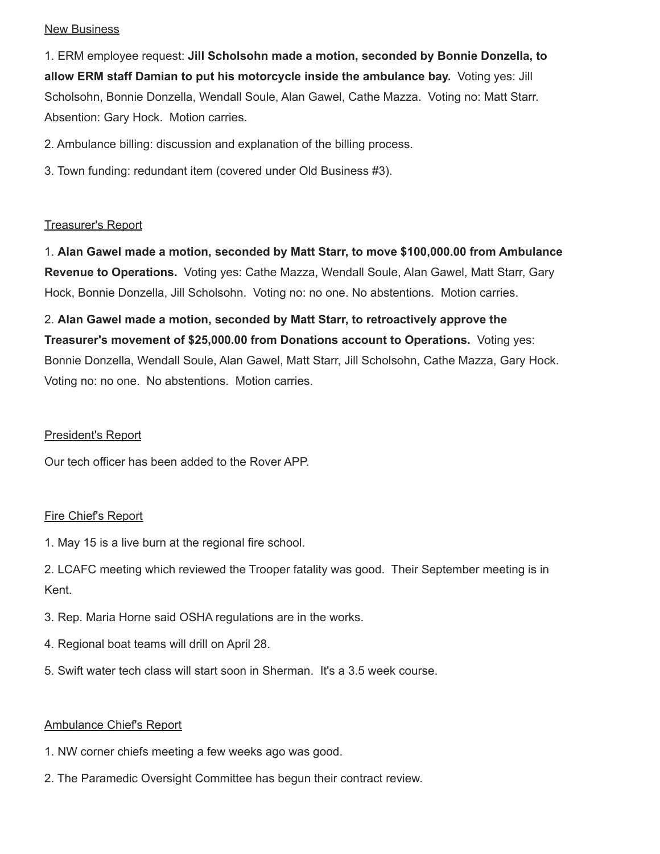#### **New Business**

1. ERM employee request: **Jill Scholsohn made a motion, seconded by Bonnie Donzella, to allow ERM staff Damian to put his motorcycle inside the ambulance bay.** Voting yes: Jill Scholsohn, Bonnie Donzella, Wendall Soule, Alan Gawel, Cathe Mazza. Voting no: Matt Starr. Absention: Gary Hock. Motion carries.

2. Ambulance billing: discussion and explanation of the billing process.

3. Town funding: redundant item (covered under Old Business #3).

# Treasurer's Report

1. **Alan Gawel made a motion, seconded by Matt Starr, to move \$100,000.00 from Ambulance Revenue to Operations.** Voting yes: Cathe Mazza, Wendall Soule, Alan Gawel, Matt Starr, Gary Hock, Bonnie Donzella, Jill Scholsohn. Voting no: no one. No abstentions. Motion carries.

2. **Alan Gawel made a motion, seconded by Matt Starr, to retroactively approve the Treasurer's movement of \$25,000.00 from Donations account to Operations.** Voting yes: Bonnie Donzella, Wendall Soule, Alan Gawel, Matt Starr, Jill Scholsohn, Cathe Mazza, Gary Hock. Voting no: no one. No abstentions. Motion carries.

### President's Report

Our tech officer has been added to the Rover APP.

# Fire Chief's Report

1. May 15 is a live burn at the regional fire school.

2. LCAFC meeting which reviewed the Trooper fatality was good. Their September meeting is in Kent.

- 3. Rep. Maria Horne said OSHA regulations are in the works.
- 4. Regional boat teams will drill on April 28.
- 5. Swift water tech class will start soon in Sherman. It's a 3.5 week course.

# Ambulance Chief's Report

- 1. NW corner chiefs meeting a few weeks ago was good.
- 2. The Paramedic Oversight Committee has begun their contract review.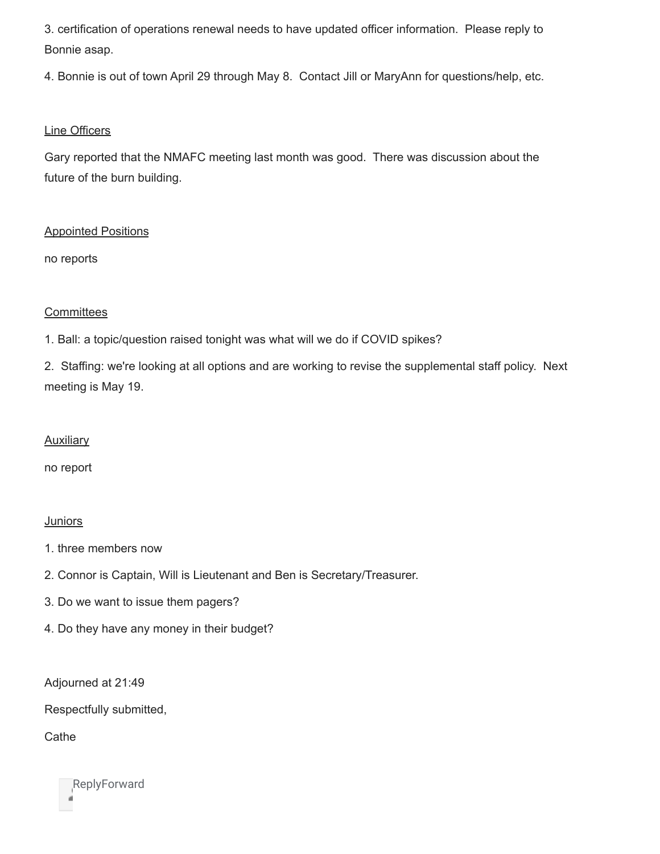3. certification of operations renewal needs to have updated officer information. Please reply to Bonnie asap.

4. Bonnie is out of town April 29 through May 8. Contact Jill or MaryAnn for questions/help, etc.

# Line Officers

Gary reported that the NMAFC meeting last month was good. There was discussion about the future of the burn building.

# Appointed Positions

no reports

### **Committees**

1. Ball: a topic/question raised tonight was what will we do if COVID spikes?

2. Staffing: we're looking at all options and are working to revise the supplemental staff policy. Next meeting is May 19.

### **Auxiliary**

no report

### **Juniors**

- 1. three members now
- 2. Connor is Captain, Will is Lieutenant and Ben is Secretary/Treasurer.
- 3. Do we want to issue them pagers?
- 4. Do they have any money in their budget?

Adjourned at 21:49

Respectfully submitted,

**Cathe** 

**ReplyForward**